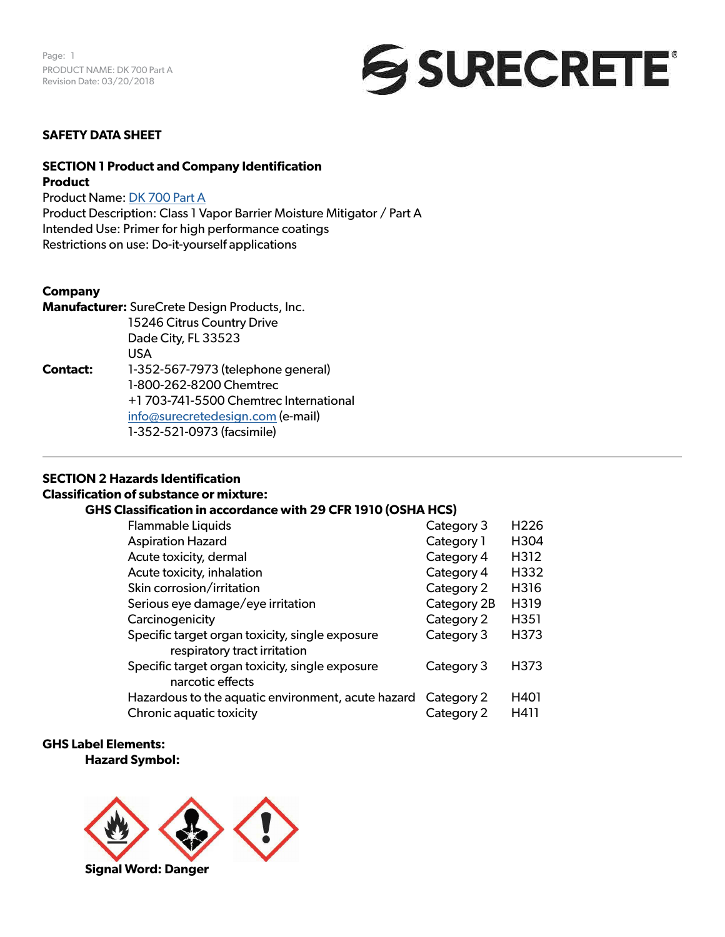

## **SAFETY DATA SHEET**

## **SECTION 1 Product and Company Identification Product**

Product Name: [DK 700 Part A](https://www.surecretedesign.com/product/concrete-moisture-barrier/) Product Description: Class 1 Vapor Barrier Moisture Mitigator / Part A Intended Use: Primer for high performance coatings Restrictions on use: Do-it-yourself applications

### **Company**

**Manufacturer:** SureCrete Design Products, Inc. 15246 Citrus Country Drive Dade City, FL 33523 USA **Contact:** 1-352-567-7973 (telephone general) 1-800-262-8200 Chemtrec +1 703-741-5500 Chemtrec International [info@surecretedesign.com](mailto:info%40surecretedesign.com?subject=DK%20700%20Part%20A%20-%20SDS%20Inquiry) (e-mail) 1-352-521-0973 (facsimile)

#### **SECTION 2 Hazards Identification**

#### **Classification of substance or mixture:**

#### **GHS Classification in accordance with 29 CFR 1910 (OSHA HCS)**

| <b>Flammable Liquids</b>                                                        | Category 3  | H <sub>226</sub> |
|---------------------------------------------------------------------------------|-------------|------------------|
| <b>Aspiration Hazard</b>                                                        | Category 1  | H304             |
| Acute toxicity, dermal                                                          | Category 4  | H312             |
| Acute toxicity, inhalation                                                      | Category 4  | H332             |
| Skin corrosion/irritation                                                       | Category 2  | H316             |
| Serious eye damage/eye irritation                                               | Category 2B | H319             |
| Carcinogenicity                                                                 | Category 2  | H351             |
| Specific target organ toxicity, single exposure<br>respiratory tract irritation | Category 3  | H373             |
| Specific target organ toxicity, single exposure<br>narcotic effects             | Category 3  | H373             |
| Hazardous to the aquatic environment, acute hazard Category 2                   |             | H401             |
| Chronic aquatic toxicity                                                        | Category 2  | H411             |

### **GHS Label Elements: Hazard Symbol:**

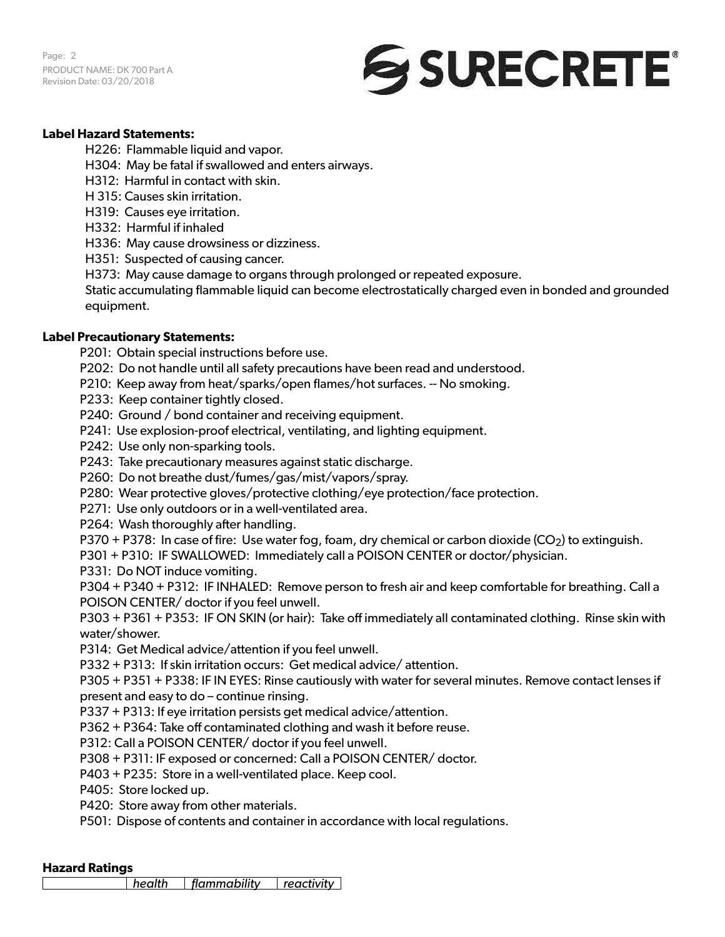Page: 2 PRODUCT NAME: DK 700 Part A Revision Date: 03/20/2018



## **Label Hazard Statements:**

H226: Flammable liquid and vapor.

H304: May be fatal if swallowed and enters airways.

- H312: Harmful in contact with skin.
- H 315: Causes skin irritation.

H319: Causes eye irritation.

- H332: Harmful if inhaled
- H336: May cause drowsiness or dizziness.
- H351: Suspected of causing cancer.
- H373: May cause damage to organs through prolonged or repeated exposure.

Static accumulating flammable liquid can become electrostatically charged even in bonded and grounded equipment.

### **Label Precautionary Statements:**

P201: Obtain special instructions before use.

- P202: Do not handle until all safety precautions have been read and understood.
- P210: Keep away from heat/sparks/open flames/hot surfaces. -- No smoking.
- P233: Keep container tightly closed.

P240: Ground / bond container and receiving equipment.

- P241: Use explosion-proof electrical, ventilating, and lighting equipment.
- P242: Use only non-sparking tools.
- P243: Take precautionary measures against static discharge.
- P260: Do not breathe dust/fumes/gas/mist/vapors/spray.
- P280: Wear protective gloves/protective clothing/eye protection/face protection.
- P271: Use only outdoors or in a well-ventilated area.
- P264: Wash thoroughly after handling.
- P370 + P378: In case of fire: Use water fog, foam, dry chemical or carbon dioxide ( $CO<sub>2</sub>$ ) to extinguish.
- P301 + P310: IF SWALLOWED: Immediately call a POISON CENTER or doctor/physician.
- P331: Do NOT induce vomiting.

P304 + P340 + P312: IF INHALED: Remove person to fresh air and keep comfortable for breathing. Call a POISON CENTER/ doctor if you feel unwell.

P303 + P361 + P353: IF ON SKIN (or hair): Take off immediately all contaminated clothing. Rinse skin with water/shower.

P314: Get Medical advice/attention if you feel unwell.

P332 + P313: If skin irritation occurs: Get medical advice/ attention.

P305 + P351 + P338: IF IN EYES: Rinse cautiously with water for several minutes. Remove contact lenses if present and easy to do – continue rinsing.

P337 + P313: If eye irritation persists get medical advice/attention.

P362 + P364: Take off contaminated clothing and wash it before reuse.

P312: Call a POISON CENTER/ doctor if you feel unwell.

P308 + P311: IF exposed or concerned: Call a POISON CENTER/ doctor.

P403 + P235: Store in a well-ventilated place. Keep cool.

P405: Store locked up.

P420: Store away from other materials.

P501: Dispose of contents and container in accordance with local regulations.

#### **Hazard Ratings**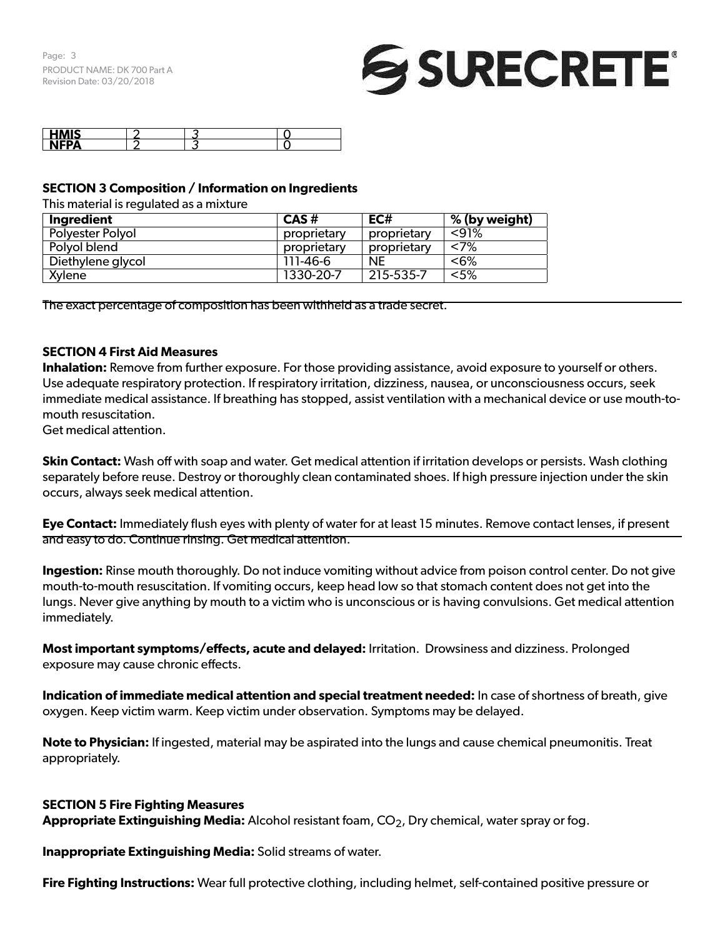Page: 3 PRODUCT NAME: DK 700 Part A Revision Date: 03/20/2018



| - -- - |  |  |
|--------|--|--|
|        |  |  |

## **SECTION 3 Composition / Information on Ingredients**

This material is regulated as a mixture

| Ingredient        | $CAS \#$    | EC#         | % (by weight) |
|-------------------|-------------|-------------|---------------|
| Polyester Polyol  | proprietary | proprietary | < 91%         |
| Polyol blend      | proprietary | proprietary | <7%           |
| Diethylene glycol | 111-46-6    | NE          | $6%$          |
| Xylene            | 1330-20-7   | 215-535-7   | $< 5\%$       |

The exact percentage of composition has been withheld as a trade secret.

## **SECTION 4 First Aid Measures**

**Inhalation:** Remove from further exposure. For those providing assistance, avoid exposure to yourself or others. Use adequate respiratory protection. If respiratory irritation, dizziness, nausea, or unconsciousness occurs, seek immediate medical assistance. If breathing has stopped, assist ventilation with a mechanical device or use mouth-tomouth resuscitation.

Get medical attention.

**Skin Contact:** Wash off with soap and water. Get medical attention if irritation develops or persists. Wash clothing separately before reuse. Destroy or thoroughly clean contaminated shoes. If high pressure injection under the skin occurs, always seek medical attention.

**Eye Contact:** Immediately flush eyes with plenty of water for at least 15 minutes. Remove contact lenses, if present and easy to do. Continue rinsing. Get medical attention.

**Ingestion:** Rinse mouth thoroughly. Do not induce vomiting without advice from poison control center. Do not give mouth-to-mouth resuscitation. If vomiting occurs, keep head low so that stomach content does not get into the lungs. Never give anything by mouth to a victim who is unconscious or is having convulsions. Get medical attention immediately.

**Most important symptoms/effects, acute and delayed:** Irritation. Drowsiness and dizziness. Prolonged exposure may cause chronic effects.

**Indication of immediate medical attention and special treatment needed:** In case of shortness of breath, give oxygen. Keep victim warm. Keep victim under observation. Symptoms may be delayed.

**Note to Physician:** If ingested, material may be aspirated into the lungs and cause chemical pneumonitis. Treat appropriately.

#### **SECTION 5 Fire Fighting Measures**

**Appropriate Extinguishing Media:** Alcohol resistant foam, CO<sub>2</sub>, Dry chemical, water spray or fog.

**Inappropriate Extinguishing Media:** Solid streams of water.

**Fire Fighting Instructions:** Wear full protective clothing, including helmet, self-contained positive pressure or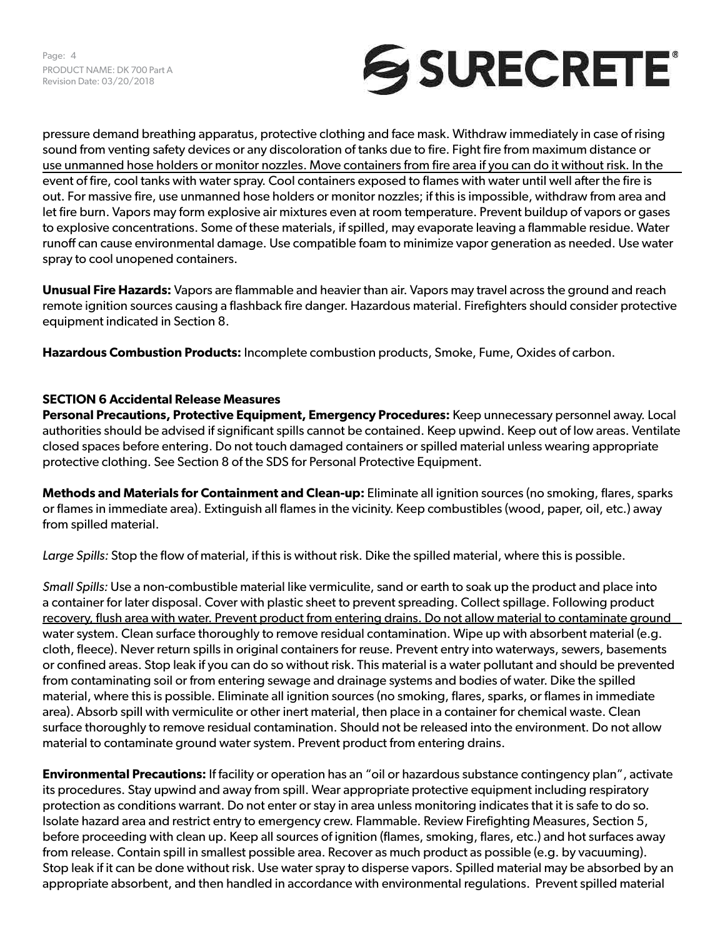

pressure demand breathing apparatus, protective clothing and face mask. Withdraw immediately in case of rising sound from venting safety devices or any discoloration of tanks due to fire. Fight fire from maximum distance or use unmanned hose holders or monitor nozzles. Move containers from fire area if you can do it without risk. In the event of fire, cool tanks with water spray. Cool containers exposed to flames with water until well after the fire is out. For massive fire, use unmanned hose holders or monitor nozzles; if this is impossible, withdraw from area and let fire burn. Vapors may form explosive air mixtures even at room temperature. Prevent buildup of vapors or gases to explosive concentrations. Some of these materials, if spilled, may evaporate leaving a flammable residue. Water runoff can cause environmental damage. Use compatible foam to minimize vapor generation as needed. Use water spray to cool unopened containers.

**Unusual Fire Hazards:** Vapors are flammable and heavier than air. Vapors may travel across the ground and reach remote ignition sources causing a flashback fire danger. Hazardous material. Firefighters should consider protective equipment indicated in Section 8.

**Hazardous Combustion Products:** Incomplete combustion products, Smoke, Fume, Oxides of carbon.

# **SECTION 6 Accidental Release Measures**

**Personal Precautions, Protective Equipment, Emergency Procedures:** Keep unnecessary personnel away. Local authorities should be advised if significant spills cannot be contained. Keep upwind. Keep out of low areas. Ventilate closed spaces before entering. Do not touch damaged containers or spilled material unless wearing appropriate protective clothing. See Section 8 of the SDS for Personal Protective Equipment.

**Methods and Materials for Containment and Clean-up:** Eliminate all ignition sources (no smoking, flares, sparks or flames in immediate area). Extinguish all flames in the vicinity. Keep combustibles (wood, paper, oil, etc.) away from spilled material.

*Large Spills:* Stop the flow of material, if this is without risk. Dike the spilled material, where this is possible.

*Small Spills:* Use a non-combustible material like vermiculite, sand or earth to soak up the product and place into a container for later disposal. Cover with plastic sheet to prevent spreading. Collect spillage. Following product recovery, flush area with water. Prevent product from entering drains. Do not allow material to contaminate ground water system. Clean surface thoroughly to remove residual contamination. Wipe up with absorbent material (e.g. cloth, fleece). Never return spills in original containers for reuse. Prevent entry into waterways, sewers, basements or confined areas. Stop leak if you can do so without risk. This material is a water pollutant and should be prevented from contaminating soil or from entering sewage and drainage systems and bodies of water. Dike the spilled material, where this is possible. Eliminate all ignition sources (no smoking, flares, sparks, or flames in immediate area). Absorb spill with vermiculite or other inert material, then place in a container for chemical waste. Clean surface thoroughly to remove residual contamination. Should not be released into the environment. Do not allow material to contaminate ground water system. Prevent product from entering drains.

**Environmental Precautions:** If facility or operation has an "oil or hazardous substance contingency plan", activate its procedures. Stay upwind and away from spill. Wear appropriate protective equipment including respiratory protection as conditions warrant. Do not enter or stay in area unless monitoring indicates that it is safe to do so. Isolate hazard area and restrict entry to emergency crew. Flammable. Review Firefighting Measures, Section 5, before proceeding with clean up. Keep all sources of ignition (flames, smoking, flares, etc.) and hot surfaces away from release. Contain spill in smallest possible area. Recover as much product as possible (e.g. by vacuuming). Stop leak if it can be done without risk. Use water spray to disperse vapors. Spilled material may be absorbed by an appropriate absorbent, and then handled in accordance with environmental regulations. Prevent spilled material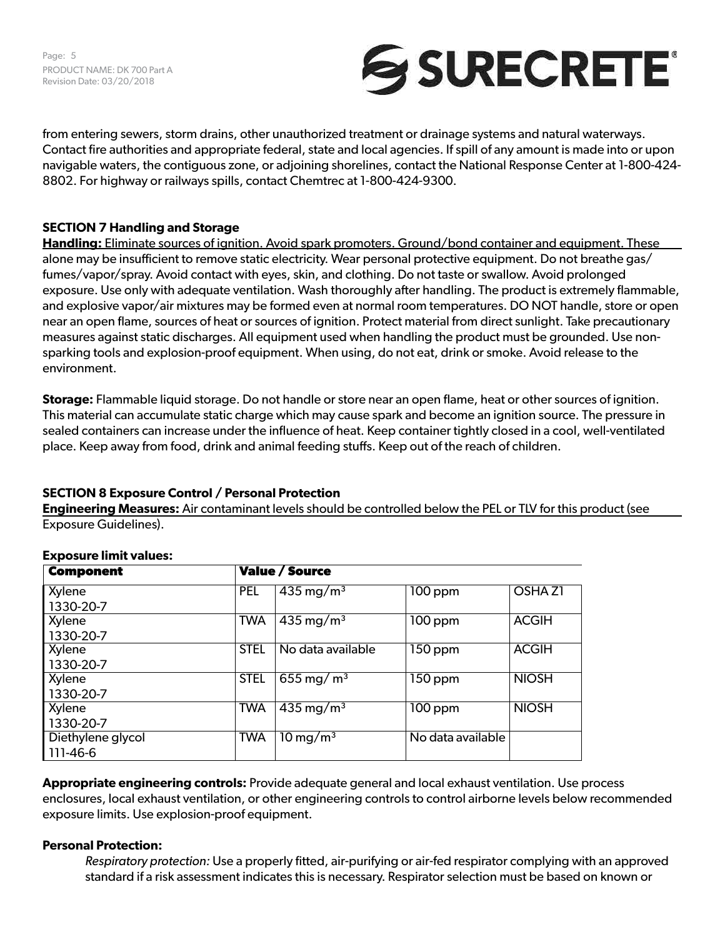Page: 5 PRODUCT NAME: DK 700 Part A Revision Date: 03/20/2018



from entering sewers, storm drains, other unauthorized treatment or drainage systems and natural waterways. Contact fire authorities and appropriate federal, state and local agencies. If spill of any amount is made into or upon navigable waters, the contiguous zone, or adjoining shorelines, contact the National Response Center at 1-800-424- 8802. For highway or railways spills, contact Chemtrec at 1-800-424-9300.

# **SECTION 7 Handling and Storage**

**Handling:** Eliminate sources of ignition. Avoid spark promoters. Ground/bond container and equipment. These alone may be insufficient to remove static electricity. Wear personal protective equipment. Do not breathe gas/ fumes/vapor/spray. Avoid contact with eyes, skin, and clothing. Do not taste or swallow. Avoid prolonged exposure. Use only with adequate ventilation. Wash thoroughly after handling. The product is extremely flammable, and explosive vapor/air mixtures may be formed even at normal room temperatures. DO NOT handle, store or open near an open flame, sources of heat or sources of ignition. Protect material from direct sunlight. Take precautionary measures against static discharges. All equipment used when handling the product must be grounded. Use nonsparking tools and explosion-proof equipment. When using, do not eat, drink or smoke. Avoid release to the environment.

**Storage:** Flammable liquid storage. Do not handle or store near an open flame, heat or other sources of ignition. This material can accumulate static charge which may cause spark and become an ignition source. The pressure in sealed containers can increase under the influence of heat. Keep container tightly closed in a cool, well-ventilated place. Keep away from food, drink and animal feeding stuffs. Keep out of the reach of children.

## **SECTION 8 Exposure Control / Personal Protection**

**Engineering Measures:** Air contaminant levels should be controlled below the PEL or TLV for this product (see Exposure Guidelines).

| <b>Component</b>  | <b>Value / Source</b> |                                   |                      |               |
|-------------------|-----------------------|-----------------------------------|----------------------|---------------|
| Xylene            | <b>PEL</b>            | 435 mg/m <sup>3</sup>             | $\overline{1}00$ ppm | <b>OSHAZI</b> |
| 1330-20-7         |                       |                                   |                      |               |
| Xylene            | <b>TWA</b>            | $435 \,\mathrm{mg/m^3}$           | 100 ppm              | <b>ACGIH</b>  |
| 1330-20-7         |                       |                                   |                      |               |
| Xylene            | <b>STEL</b>           | No data available                 | $\overline{1}50$ ppm | <b>ACGIH</b>  |
| 1330-20-7         |                       |                                   |                      |               |
| Xylene            | <b>STEL</b>           | $655 \,\mathrm{mg/m^3}$           | $150$ ppm            | <b>NIOSH</b>  |
| 1330-20-7         |                       |                                   |                      |               |
| Xylene            | <b>TWA</b>            | $\frac{435 \text{ mg}}{\text{m}}$ | $\overline{1}00$ ppm | <b>NIOSH</b>  |
| 1330-20-7         |                       |                                   |                      |               |
| Diethylene glycol | <b>TWA</b>            | $10 \,\mathrm{mg/m^3}$            | No data available    |               |
| 111-46-6          |                       |                                   |                      |               |

## **Exposure limit values:**

**Appropriate engineering controls:** Provide adequate general and local exhaust ventilation. Use process enclosures, local exhaust ventilation, or other engineering controls to control airborne levels below recommended exposure limits. Use explosion-proof equipment.

## **Personal Protection:**

*Respiratory protection:* Use a properly fitted, air-purifying or air-fed respirator complying with an approved standard if a risk assessment indicates this is necessary. Respirator selection must be based on known or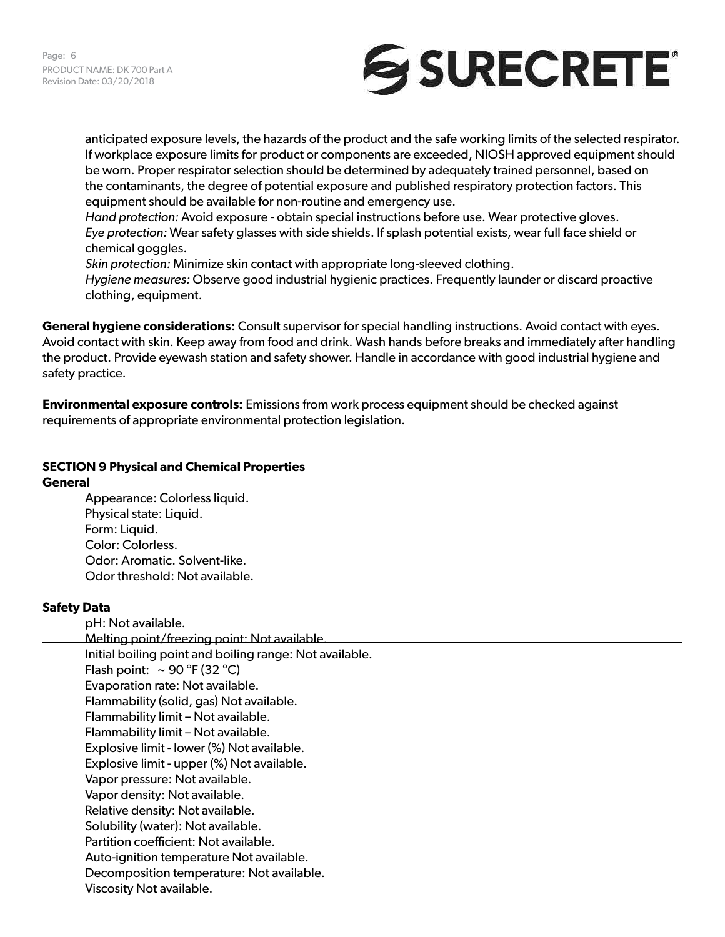

anticipated exposure levels, the hazards of the product and the safe working limits of the selected respirator. If workplace exposure limits for product or components are exceeded, NIOSH approved equipment should be worn. Proper respirator selection should be determined by adequately trained personnel, based on the contaminants, the degree of potential exposure and published respiratory protection factors. This equipment should be available for non-routine and emergency use.

*Hand protection:* Avoid exposure - obtain special instructions before use. Wear protective gloves. *Eye protection:* Wear safety glasses with side shields. If splash potential exists, wear full face shield or chemical goggles.

*Skin protection:* Minimize skin contact with appropriate long-sleeved clothing.

*Hygiene measures:* Observe good industrial hygienic practices. Frequently launder or discard proactive clothing, equipment.

**General hygiene considerations:** Consult supervisor for special handling instructions. Avoid contact with eyes. Avoid contact with skin. Keep away from food and drink. Wash hands before breaks and immediately after handling the product. Provide eyewash station and safety shower. Handle in accordance with good industrial hygiene and safety practice.

**Environmental exposure controls:** Emissions from work process equipment should be checked against requirements of appropriate environmental protection legislation.

# **SECTION 9 Physical and Chemical Properties**

## **General**

Appearance: Colorless liquid. Physical state: Liquid. Form: Liquid. Color: Colorless. Odor: Aromatic. Solvent-like. Odor threshold: Not available.

# **Safety Data**

| pH: Not available.                                      |
|---------------------------------------------------------|
| Melting point/freezing point: Not available.            |
| Initial boiling point and boiling range: Not available. |
| Flash point: $\sim$ 90 °F (32 °C)                       |
| Evaporation rate: Not available.                        |
| Flammability (solid, gas) Not available.                |
| Flammability limit - Not available.                     |
| Flammability limit - Not available.                     |
| Explosive limit - lower (%) Not available.              |
| Explosive limit - upper (%) Not available.              |
| Vapor pressure: Not available.                          |
| Vapor density: Not available.                           |
| Relative density: Not available.                        |
| Solubility (water): Not available.                      |
| Partition coefficient: Not available.                   |
| Auto-ignition temperature Not available.                |
| Decomposition temperature: Not available.               |
| <b>Viscosity Not available.</b>                         |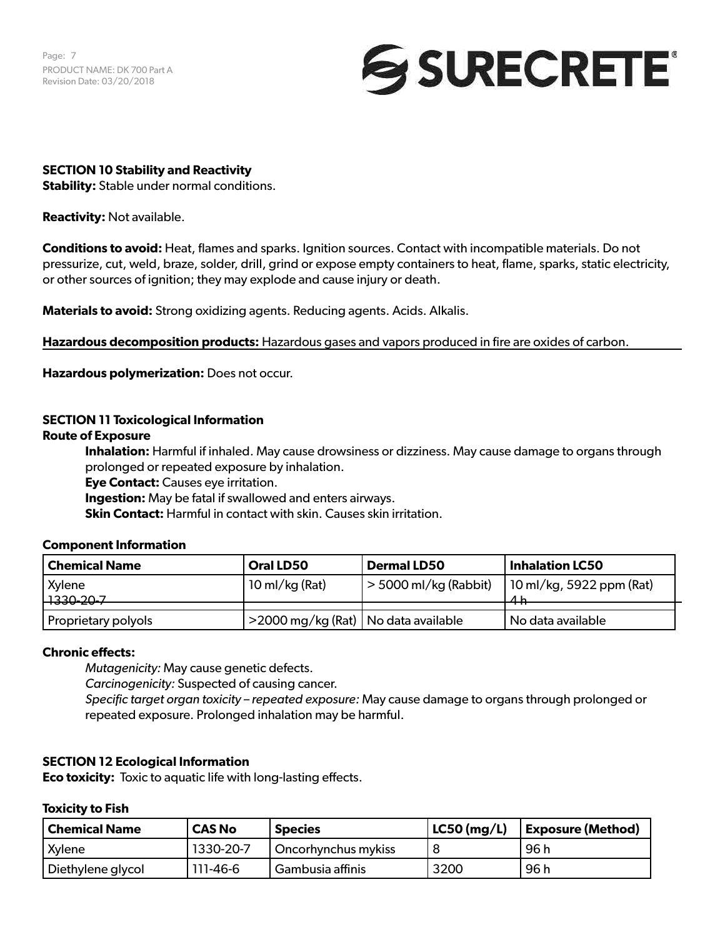Page: 7 PRODUCT NAME: DK 700 Part A Revision Date: 03/20/2018



## **SECTION 10 Stability and Reactivity**

**Stability:** Stable under normal conditions.

**Reactivity:** Not available.

**Conditions to avoid:** Heat, flames and sparks. Ignition sources. Contact with incompatible materials. Do not pressurize, cut, weld, braze, solder, drill, grind or expose empty containers to heat, flame, sparks, static electricity, or other sources of ignition; they may explode and cause injury or death.

**Materials to avoid:** Strong oxidizing agents. Reducing agents. Acids. Alkalis.

**Hazardous decomposition products:** Hazardous gases and vapors produced in fire are oxides of carbon.

**Hazardous polymerization:** Does not occur.

#### **SECTION 11 Toxicological Information**

**Route of Exposure**

**Inhalation:** Harmful if inhaled. May cause drowsiness or dizziness. May cause damage to organs through prolonged or repeated exposure by inhalation.

**Eye Contact:** Causes eye irritation.

**Ingestion:** May be fatal if swallowed and enters airways.

**Skin Contact:** Harmful in contact with skin. Causes skin irritation.

#### **Component Information**

| <b>Chemical Name</b>              | Oral LD50                             | <b>Dermal LD50</b>         | <b>Inhalation LC50</b>     |
|-----------------------------------|---------------------------------------|----------------------------|----------------------------|
| <b>Xylene</b><br><b>T220-20-7</b> | $10 \text{ ml/kg}$ (Rat)              | $\geq$ 5000 ml/kg (Rabbit) | $10$ ml/kg, 5922 ppm (Rat) |
| <del>1990 207</del>               |                                       |                            |                            |
| Proprietary polyols               | >2000 mg/kg (Rat)   No data available |                            | ∣ No data available        |

#### **Chronic effects:**

*Mutagenicity:* May cause genetic defects.

*Carcinogenicity:* Suspected of causing cancer.

*Specific target organ toxicity – repeated exposure:* May cause damage to organs through prolonged or repeated exposure. Prolonged inhalation may be harmful.

#### **SECTION 12 Ecological Information**

**Eco toxicity:** Toxic to aquatic life with long-lasting effects.

#### **Toxicity to Fish**

| <b>Chemical Name</b> | <b>CAS No</b> | <b>Species</b>      | LC50 (mg/L) | <b>Exposure (Method)</b> |
|----------------------|---------------|---------------------|-------------|--------------------------|
| <b>Xylene</b>        | 1330-20-7     | Oncorhynchus mykiss |             | 96 h                     |
| Diethylene glycol    | 111-46-6      | Gambusia affinis    | 3200        | 96 h                     |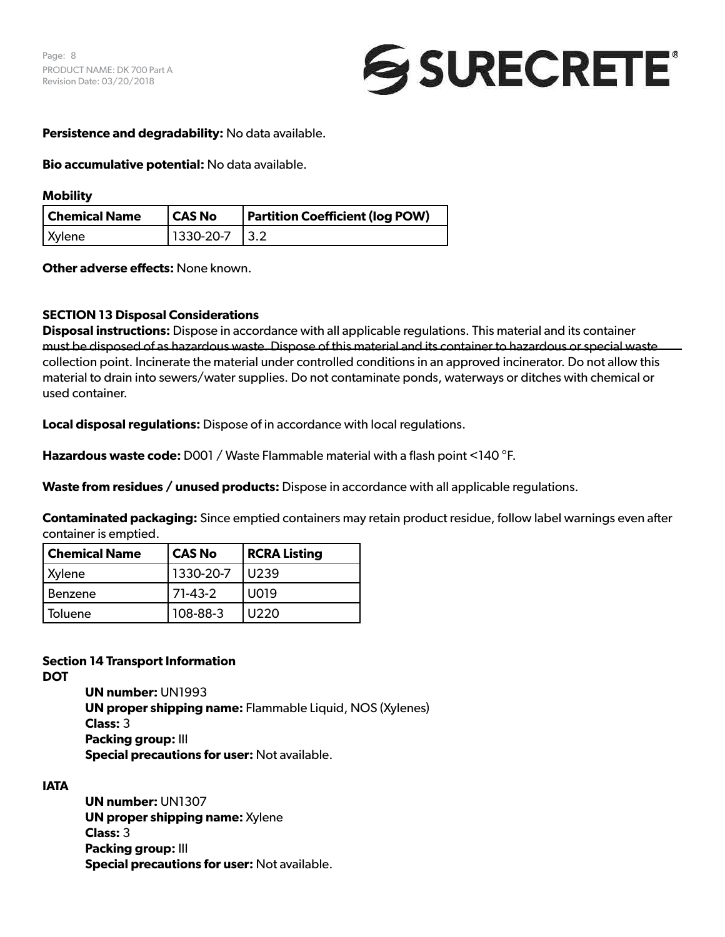

## **Persistence and degradability:** No data available.

**Bio accumulative potential:** No data available.

**Mobility**

| <b>Chemical Name</b> | <b>CAS No</b>   | <b>Partition Coefficient (log POW)</b> |
|----------------------|-----------------|----------------------------------------|
| Xylene               | $1330-20-7$ 3.2 |                                        |

**Other adverse effects:** None known.

## **SECTION 13 Disposal Considerations**

**Disposal instructions:** Dispose in accordance with all applicable regulations. This material and its container must be disposed of as hazardous waste. Dispose of this material and its container to hazardous or special waste collection point. Incinerate the material under controlled conditions in an approved incinerator. Do not allow this material to drain into sewers/water supplies. Do not contaminate ponds, waterways or ditches with chemical or used container.

**Local disposal regulations:** Dispose of in accordance with local regulations.

**Hazardous waste code:** D001 / Waste Flammable material with a flash point <140 °F.

**Waste from residues / unused products:** Dispose in accordance with all applicable regulations.

**Contaminated packaging:** Since emptied containers may retain product residue, follow label warnings even after container is emptied.

| <b>Chemical Name</b> | <b>CAS No</b> | <b>RCRA Listing</b> |
|----------------------|---------------|---------------------|
| Xylene               | 1330-20-7     | U <sub>239</sub>    |
| Benzene              | $71-43-2$     | U019                |
| Toluene              | 108-88-3      | U220                |

# **Section 14 Transport Information**

**DOT**

**UN number:** UN1993 **UN proper shipping name:** Flammable Liquid, NOS (Xylenes) **Class:** 3 **Packing group:** III **Special precautions for user:** Not available.

## **IATA**

**UN number:** UN1307 **UN proper shipping name:** Xylene **Class:** 3 **Packing group:** III **Special precautions for user:** Not available.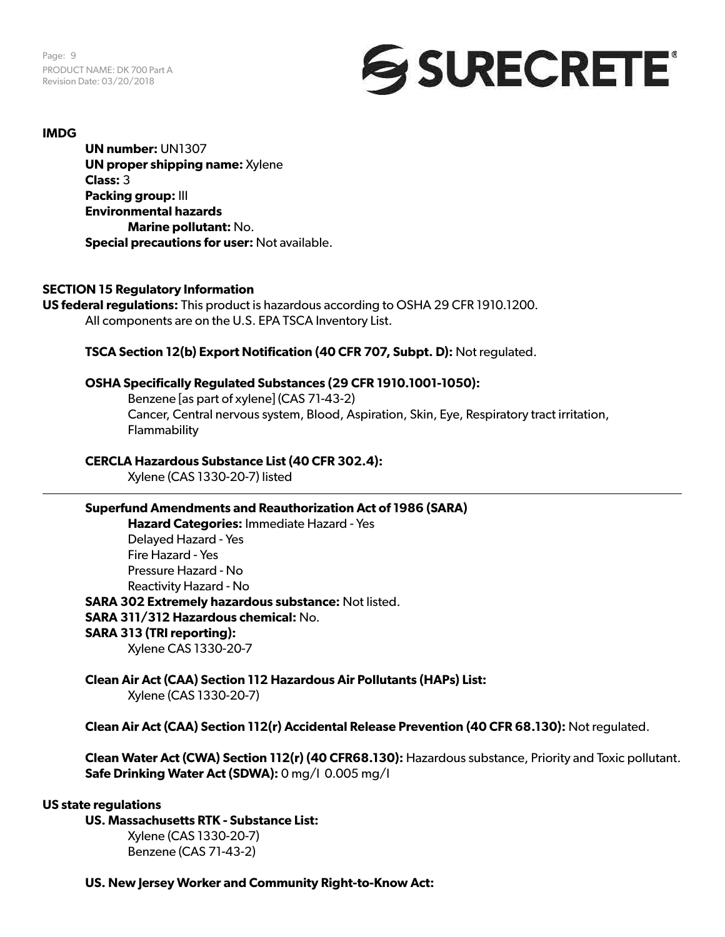Page: 9 PRODUCT NAME: DK 700 Part A Revision Date: 03/20/2018



#### **IMDG**

**UN number:** UN1307 **UN proper shipping name:** Xylene **Class:** 3 **Packing group:** III **Environmental hazards Marine pollutant:** No. **Special precautions for user:** Not available.

## **SECTION 15 Regulatory Information**

**US federal regulations:** This product is hazardous according to OSHA 29 CFR 1910.1200. All components are on the U.S. EPA TSCA Inventory List.

**TSCA Section 12(b) Export Notification (40 CFR 707, Subpt. D):** Not regulated.

#### **OSHA Specifically Regulated Substances (29 CFR 1910.1001-1050):**

Benzene [as part of xylene] (CAS 71-43-2) Cancer, Central nervous system, Blood, Aspiration, Skin, Eye, Respiratory tract irritation, **Flammability** 

#### **CERCLA Hazardous Substance List (40 CFR 302.4):**

Xylene (CAS 1330-20-7) listed

# **Superfund Amendments and Reauthorization Act of 1986 (SARA)**

**Hazard Categories:** Immediate Hazard - Yes Delayed Hazard - Yes Fire Hazard - Yes Pressure Hazard - No Reactivity Hazard - No **SARA 302 Extremely hazardous substance:** Not listed. **SARA 311/312 Hazardous chemical:** No. **SARA 313 (TRI reporting):** Xylene CAS 1330-20-7

**Clean Air Act (CAA) Section 112 Hazardous Air Pollutants (HAPs) List:** Xylene (CAS 1330-20-7)

**Clean Air Act (CAA) Section 112(r) Accidental Release Prevention (40 CFR 68.130):** Not regulated.

**Clean Water Act (CWA) Section 112(r) (40 CFR68.130):** Hazardous substance, Priority and Toxic pollutant. **Safe Drinking Water Act (SDWA):** 0 mg/l 0.005 mg/l

#### **US state regulations**

#### **US. Massachusetts RTK - Substance List:**

Xylene (CAS 1330-20-7) Benzene (CAS 71-43-2)

#### **US. New Jersey Worker and Community Right-to-Know Act:**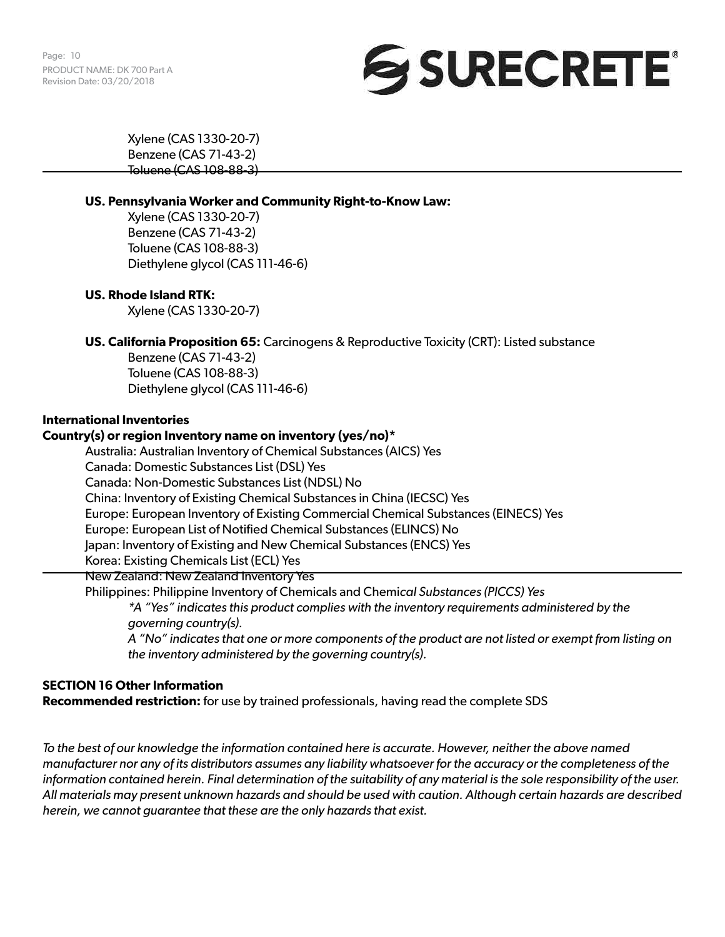Page: 10 PRODUCT NAME: DK 700 Part A Revision Date: 03/20/2018



Xylene (CAS 1330-20-7) Benzene (CAS 71-43-2) Toluene (CAS 108-88-3)

## **US. Pennsylvania Worker and Community Right-to-Know Law:**

Xylene (CAS 1330-20-7) Benzene (CAS 71-43-2) Toluene (CAS 108-88-3) Diethylene glycol (CAS 111-46-6)

#### **US. Rhode Island RTK:**

Xylene (CAS 1330-20-7)

#### **US. California Proposition 65:** Carcinogens & Reproductive Toxicity (CRT): Listed substance

Benzene (CAS 71-43-2) Toluene (CAS 108-88-3) Diethylene glycol (CAS 111-46-6)

#### **International Inventories**

#### **Country(s) or region Inventory name on inventory (yes/no)\***

Australia: Australian Inventory of Chemical Substances (AICS) Yes Canada: Domestic Substances List (DSL) Yes Canada: Non-Domestic Substances List (NDSL) No China: Inventory of Existing Chemical Substances in China (IECSC) Yes Europe: European Inventory of Existing Commercial Chemical Substances (EINECS) Yes Europe: European List of Notified Chemical Substances (ELINCS) No Japan: Inventory of Existing and New Chemical Substances (ENCS) Yes Korea: Existing Chemicals List (ECL) Yes New Zealand: New Zealand Inventory Yes Philippines: Philippine Inventory of Chemicals and Chemi*cal Substances (PICCS) Yes*

*\*A "Yes" indicates this product complies with the inventory requirements administered by the governing country(s).*

*A "No" indicates that one or more components of the product are not listed or exempt from listing on the inventory administered by the governing country(s).*

# **SECTION 16 Other Information**

**Recommended restriction:** for use by trained professionals, having read the complete SDS

*To the best of our knowledge the information contained here is accurate. However, neither the above named manufacturer nor any of its distributors assumes any liability whatsoever for the accuracy or the completeness of the information contained herein. Final determination of the suitability of any material is the sole responsibility of the user. All materials may present unknown hazards and should be used with caution. Although certain hazards are described herein, we cannot guarantee that these are the only hazards that exist.*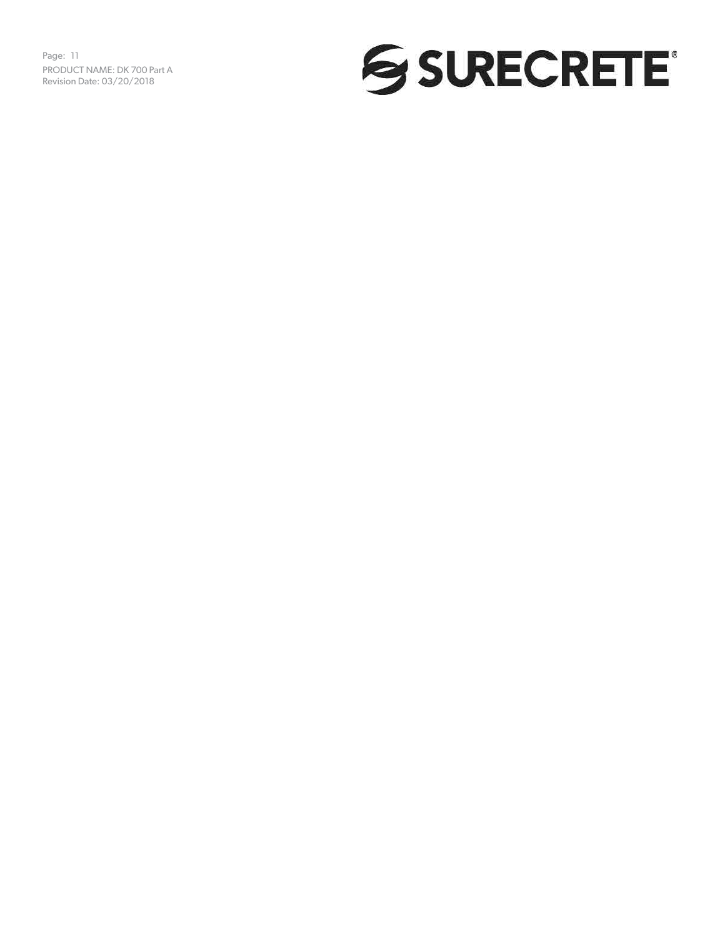Page: 11PRODUCT NAME: DK 700 Part A Revision Date: 03/20/2018